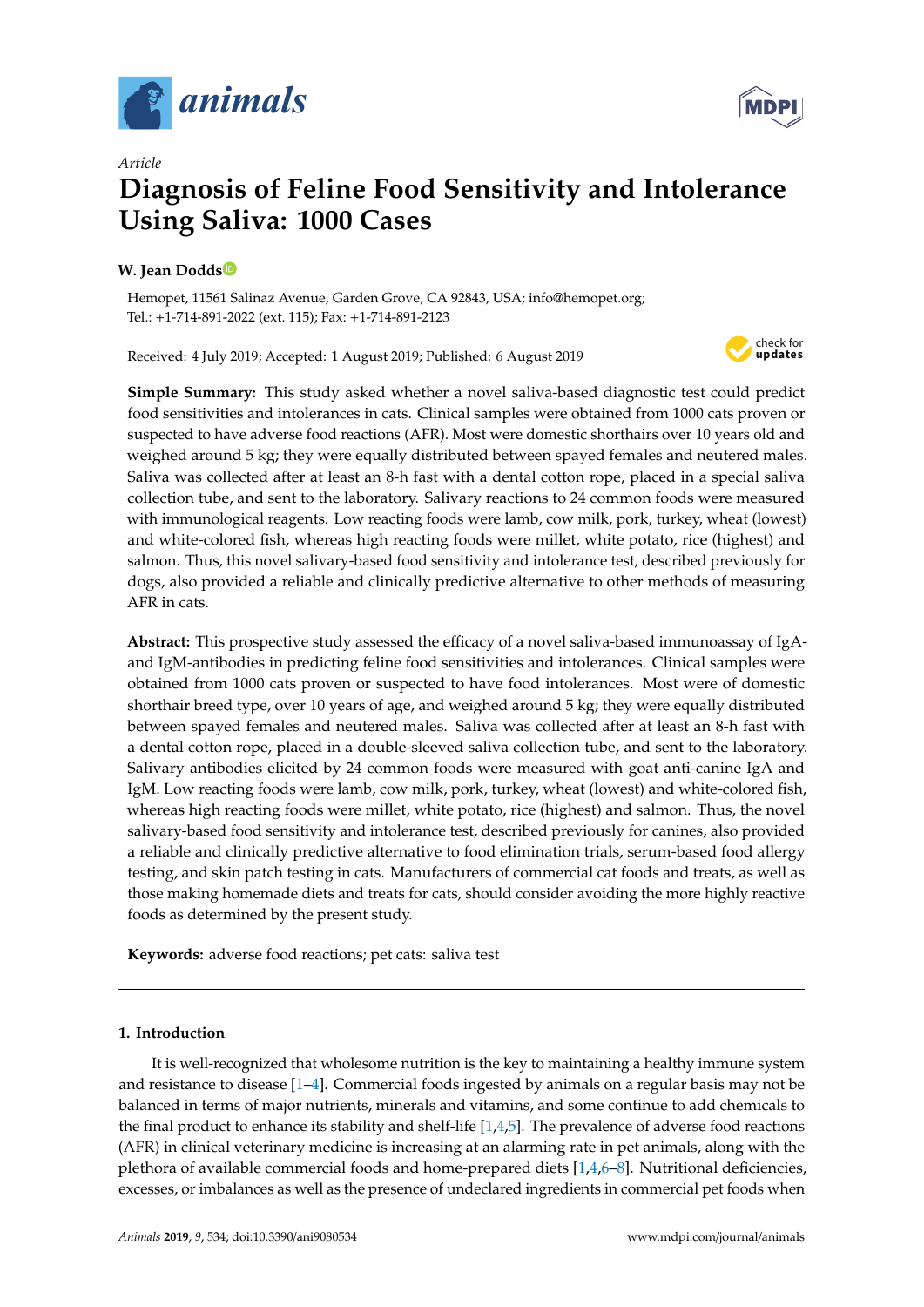



# **Diagnosis of Feline Food Sensitivity and Intolerance Using Saliva: 1000 Cases**

# **W. Jean Dodd[s](https://orcid.org/0000-0002-0058-8516)**

*Article*

Hemopet, 11561 Salinaz Avenue, Garden Grove, CA 92843, USA; info@hemopet.org; Tel.: +1-714-891-2022 (ext. 115); Fax: +1-714-891-2123

Received: 4 July 2019; Accepted: 1 August 2019; Published: 6 August 2019



**Simple Summary:** This study asked whether a novel saliva-based diagnostic test could predict food sensitivities and intolerances in cats. Clinical samples were obtained from 1000 cats proven or suspected to have adverse food reactions (AFR). Most were domestic shorthairs over 10 years old and weighed around 5 kg; they were equally distributed between spayed females and neutered males. Saliva was collected after at least an 8-h fast with a dental cotton rope, placed in a special saliva collection tube, and sent to the laboratory. Salivary reactions to 24 common foods were measured with immunological reagents. Low reacting foods were lamb, cow milk, pork, turkey, wheat (lowest) and white-colored fish, whereas high reacting foods were millet, white potato, rice (highest) and salmon. Thus, this novel salivary-based food sensitivity and intolerance test, described previously for dogs, also provided a reliable and clinically predictive alternative to other methods of measuring AFR in cats.

**Abstract:** This prospective study assessed the efficacy of a novel saliva-based immunoassay of IgAand IgM-antibodies in predicting feline food sensitivities and intolerances. Clinical samples were obtained from 1000 cats proven or suspected to have food intolerances. Most were of domestic shorthair breed type, over 10 years of age, and weighed around 5 kg; they were equally distributed between spayed females and neutered males. Saliva was collected after at least an 8-h fast with a dental cotton rope, placed in a double-sleeved saliva collection tube, and sent to the laboratory. Salivary antibodies elicited by 24 common foods were measured with goat anti-canine IgA and IgM. Low reacting foods were lamb, cow milk, pork, turkey, wheat (lowest) and white-colored fish, whereas high reacting foods were millet, white potato, rice (highest) and salmon. Thus, the novel salivary-based food sensitivity and intolerance test, described previously for canines, also provided a reliable and clinically predictive alternative to food elimination trials, serum-based food allergy testing, and skin patch testing in cats. Manufacturers of commercial cat foods and treats, as well as those making homemade diets and treats for cats, should consider avoiding the more highly reactive foods as determined by the present study.

**Keywords:** adverse food reactions; pet cats: saliva test

## **1. Introduction**

It is well-recognized that wholesome nutrition is the key to maintaining a healthy immune system and resistance to disease [\[1–](#page-5-0)[4\]](#page-5-1). Commercial foods ingested by animals on a regular basis may not be balanced in terms of major nutrients, minerals and vitamins, and some continue to add chemicals to the final product to enhance its stability and shelf-life  $[1,4,5]$  $[1,4,5]$  $[1,4,5]$ . The prevalence of adverse food reactions (AFR) in clinical veterinary medicine is increasing at an alarming rate in pet animals, along with the plethora of available commercial foods and home-prepared diets  $[1,4,6-8]$  $[1,4,6-8]$  $[1,4,6-8]$  $[1,4,6-8]$ . Nutritional deficiencies, excesses, or imbalances as well as the presence of undeclared ingredients in commercial pet foods when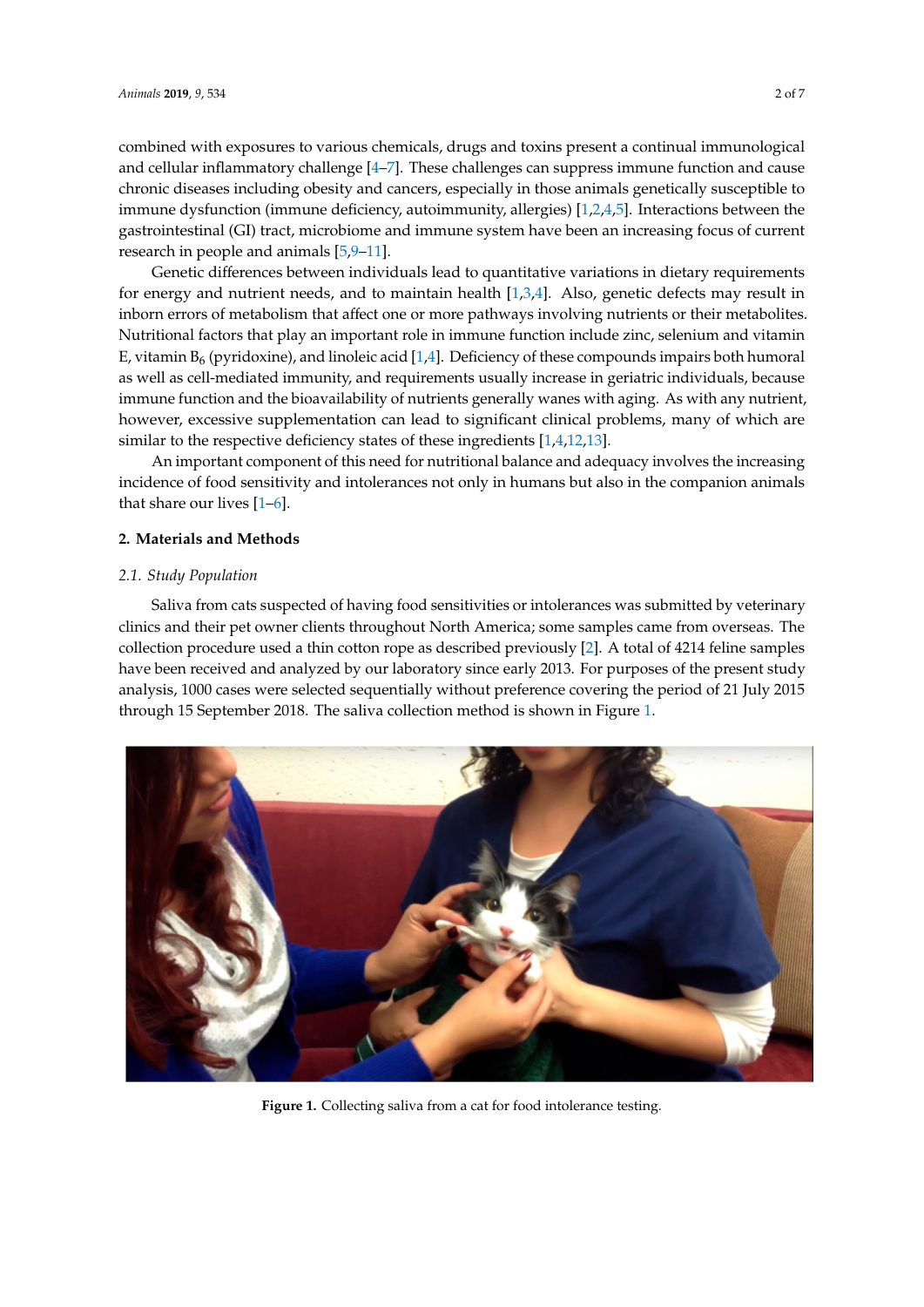Genetic differences between individuals lead to quantitative variations in dietary requirements for energy and nutrient needs, and to maintain health  $[1,3,4]$  $[1,3,4]$  $[1,3,4]$ . Also, genetic defects may result in inborn errors of metabolism that affect one or more pathways involving nutrients or their metabolites. Nutritional factors that play an important role in immune function include zinc, selenium and vitamin E, vitamin  $B_6$  (pyridoxine), and linoleic acid [\[1,](#page-5-0)[4\]](#page-5-1). Deficiency of these compounds impairs both humoral as well as cell-mediated immunity, and requirements usually increase in geriatric individuals, because immune function and the bioavailability of nutrients generally wanes with aging. As with any nutrient, however, excessive supplementation can lead to significant clinical problems, many of which are similar to the respective deficiency states of these ingredients [\[1,](#page-5-0)[4,](#page-5-1)[12,](#page-6-6)[13\]](#page-6-7).

An important component of this need for nutritional balance and adequacy involves the increasing An important component of this need for nutritional balance and adequacy involves the incidence of food sensitivity and intolerances not only in humans but also in the companion animals that share our lives  $[1-6]$  $[1-6]$ .

# **2. Materials and Methods 2. Materials and Methods**

# *2.1. Study Population 2.1. Study Population*

Saliva from cats suspected of having food sensitivities or intolerances was submitted by veterinary<br>
The contract of the contract of the contract of the contract of the contract of the contract of the contract o clinics and their pet owner clients throughout North America; some samples came from overseas. The<br>very clinical clients throughout North America; some samples came from overseas. The collection procedure used a thin cotton rope as described previously [\[2\]](#page-5-2). A total of 4214 feline samples have been received and analyzed by our laboratory since early 2013. For purposes of the present study analysis, 1000 cases were selected sequentially without preference covering the period of 21 July 2015 through 15 September 2018. The saliva collection method is shown in Figure [1.](#page-1-0)  $\frac{1}{2}$ . The collection procedure used a thin cotton rope as described previously  $\frac{1}{2}$ . A total of  $\frac{1}{2}$ . Then is samples are been received and analyzed by our laboratory since early 2015. For purposes of the present study

<span id="page-1-0"></span>

**Figure 1.** Collecting saliva from a cat for food intolerance testing. **Figure 1.** Collecting saliva from a cat for food intolerance testing.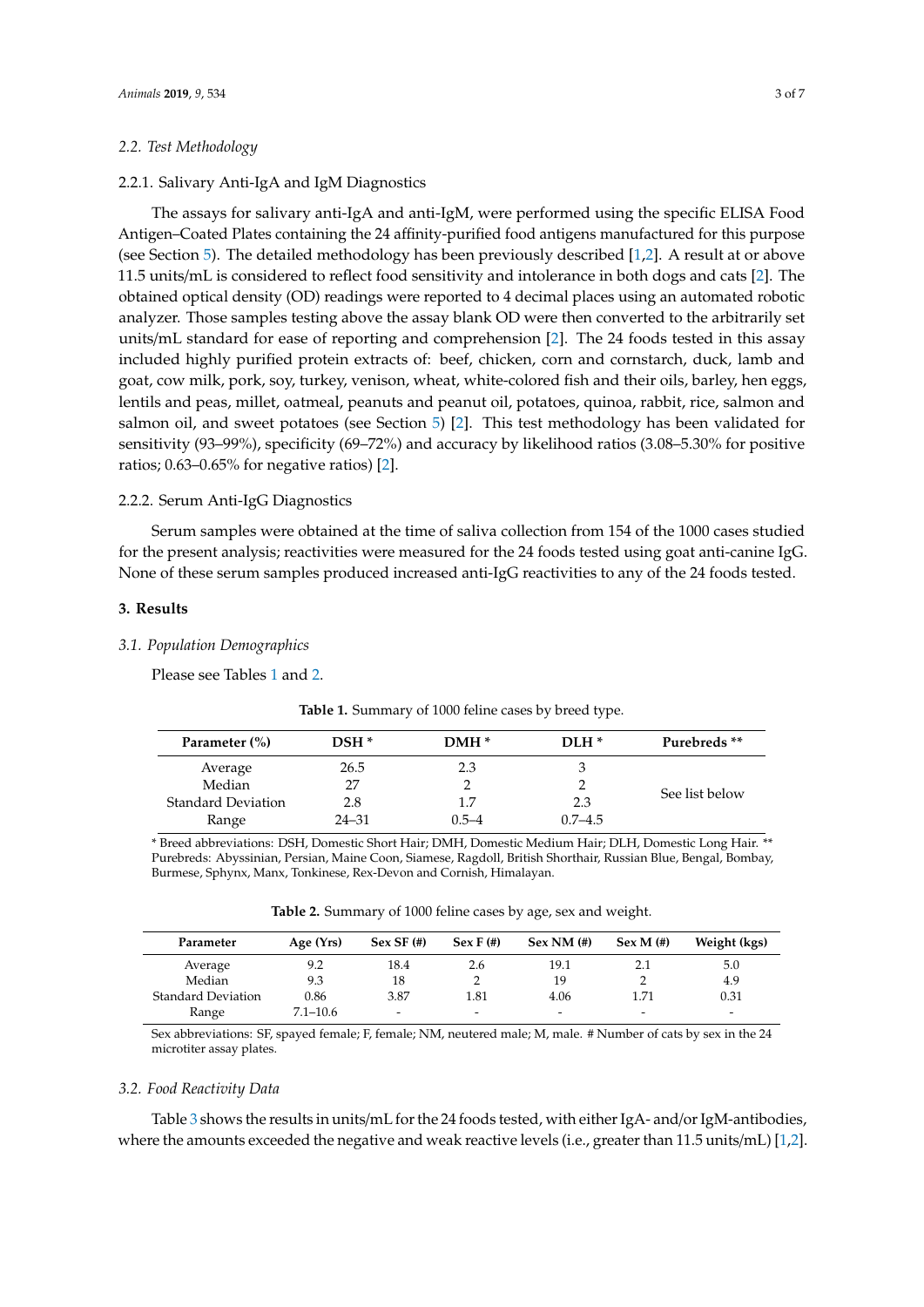#### *2.2. Test Methodology*

#### 2.2.1. Salivary Anti-IgA and IgM Diagnostics

The assays for salivary anti-IgA and anti-IgM, were performed using the specific ELISA Food Antigen–Coated Plates containing the 24 affinity-purified food antigens manufactured for this purpose (see Section [5\)](#page-5-4). The detailed methodology has been previously described [\[1,](#page-5-0)[2\]](#page-5-2). A result at or above 11.5 units/mL is considered to reflect food sensitivity and intolerance in both dogs and cats [\[2\]](#page-5-2). The obtained optical density (OD) readings were reported to 4 decimal places using an automated robotic analyzer. Those samples testing above the assay blank OD were then converted to the arbitrarily set units/mL standard for ease of reporting and comprehension [\[2\]](#page-5-2). The 24 foods tested in this assay included highly purified protein extracts of: beef, chicken, corn and cornstarch, duck, lamb and goat, cow milk, pork, soy, turkey, venison, wheat, white-colored fish and their oils, barley, hen eggs, lentils and peas, millet, oatmeal, peanuts and peanut oil, potatoes, quinoa, rabbit, rice, salmon and salmon oil, and sweet potatoes (see Section [5\)](#page-5-4) [\[2\]](#page-5-2). This test methodology has been validated for sensitivity (93–99%), specificity (69–72%) and accuracy by likelihood ratios (3.08–5.30% for positive ratios; 0.63–0.65% for negative ratios) [\[2\]](#page-5-2).

# 2.2.2. Serum Anti-IgG Diagnostics

Serum samples were obtained at the time of saliva collection from 154 of the 1000 cases studied for the present analysis; reactivities were measured for the 24 foods tested using goat anti-canine IgG. None of these serum samples produced increased anti-IgG reactivities to any of the 24 foods tested.

#### **3. Results**

#### *3.1. Population Demographics*

<span id="page-2-0"></span>Please see Tables [1](#page-2-0) and [2.](#page-2-1)

| Parameter (%)             | $DSH^*$   | $DMH*$    | $DI.H^*$    | Purebreds **   |
|---------------------------|-----------|-----------|-------------|----------------|
| Average                   | 26.5      | 2.3       |             |                |
| Median                    | 27        |           |             |                |
| <b>Standard Deviation</b> | 2.8       | 1.7       | 2.3         | See list below |
| Range                     | $24 - 31$ | $0.5 - 4$ | $0.7 - 4.5$ |                |

**Table 1.** Summary of 1000 feline cases by breed type.

\* Breed abbreviations: DSH, Domestic Short Hair; DMH, Domestic Medium Hair; DLH, Domestic Long Hair. \*\* Purebreds: Abyssinian, Persian, Maine Coon, Siamese, Ragdoll, British Shorthair, Russian Blue, Bengal, Bombay, Burmese, Sphynx, Manx, Tonkinese, Rex-Devon and Cornish, Himalayan.

**Table 2.** Summary of 1000 feline cases by age, sex and weight.

<span id="page-2-1"></span>

| Parameter                 | Age $(Yrs)$  | $Sex SF$ (#) | $SexF(\#)$               | $SexNM$ (#) | $Sex M (*)$              | Weight (kgs) |
|---------------------------|--------------|--------------|--------------------------|-------------|--------------------------|--------------|
| Average                   | 9.2          | 18.4         | 2.6                      | 19.1        |                          | 5.0          |
| Median                    | 9.3          | 18           |                          | 19          |                          | 4.9          |
| <b>Standard Deviation</b> | 0.86         | 3.87         | 1.81                     | 4.06        | 1.71                     | 0.31         |
| Range                     | $7.1 - 10.6$ | -            | $\overline{\phantom{0}}$ |             | $\overline{\phantom{0}}$ | -            |

Sex abbreviations: SF, spayed female; F, female; NM, neutered male; M, male. # Number of cats by sex in the 24 microtiter assay plates.

#### *3.2. Food Reactivity Data*

Table [3](#page-3-0) shows the results in units/mL for the 24 foods tested, with either IgA- and/or IgM-antibodies, where the amounts exceeded the negative and weak reactive levels (i.e., greater than 11.5 units/mL) [\[1](#page-5-0)[,2\]](#page-5-2).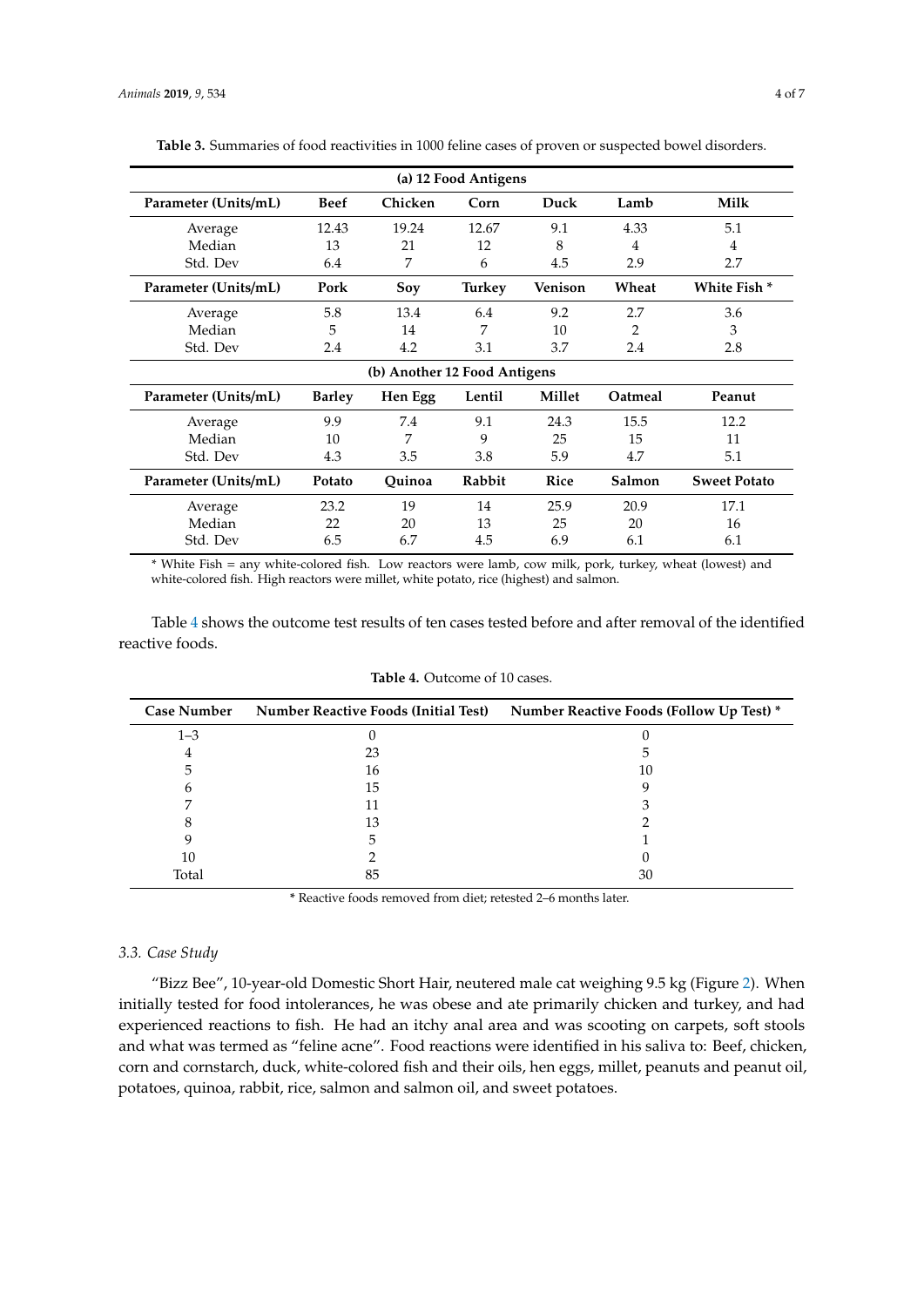| (a) 12 Food Antigens         |               |         |        |                |         |                     |
|------------------------------|---------------|---------|--------|----------------|---------|---------------------|
| Parameter (Units/mL)         | Beef          | Chicken | Corn   | Duck           | Lamb    | <b>Milk</b>         |
| Average                      | 12.43         | 19.24   | 12.67  | 9.1            | 4.33    | 5.1                 |
| Median                       | 13            | 21      | 12     | 8              | 4       | 4                   |
| Std. Dev                     | 6.4           | 7       | 6      | 4.5            | 2.9     | 2.7                 |
| Parameter (Units/mL)         | Pork          | Soy     | Turkey | <b>Venison</b> | Wheat   | White Fish *        |
| Average                      | 5.8           | 13.4    | 6.4    | 9.2            | 2.7     | 3.6                 |
| Median                       | 5             | 14      | 7      | 10             | 2       | 3                   |
| Std. Dev                     | 2.4           | 4.2     | 3.1    | 3.7            | 2.4     | 2.8                 |
| (b) Another 12 Food Antigens |               |         |        |                |         |                     |
| Parameter (Units/mL)         | <b>Barley</b> | Hen Egg | Lentil | Millet         | Oatmeal | Peanut              |
| Average                      | 9.9           | 7.4     | 9.1    | 24.3           | 15.5    | 12.2                |
| Median                       | 10            | 7       | 9      | 25             | 15      | 11                  |
| Std. Dev                     | 4.3           | 3.5     | 3.8    | 5.9            | 4.7     | 5.1                 |
| Parameter (Units/mL)         | Potato        | Quinoa  | Rabbit | Rice           | Salmon  | <b>Sweet Potato</b> |
| Average                      | 23.2          | 19      | 14     | 25.9           | 20.9    | 17.1                |
| Median                       | 22            | 20      | 13     | 25             | 20      | 16                  |
| Std. Dev                     | 6.5           | 6.7     | 4.5    | 6.9            | 6.1     | 6.1                 |

<span id="page-3-0"></span>**Table 3.** Summaries of food reactivities in 1000 feline cases of proven or suspected bowel disorders.

\* White Fish = any white-colored fish. Low reactors were lamb, cow milk, pork, turkey, wheat (lowest) and white-colored fish. High reactors were millet, white potato, rice (highest) and salmon.

Table [4](#page-3-1) shows the outcome test results of ten cases tested before and after removal of the identified reactive foods.

<span id="page-3-1"></span>

| <b>Case Number</b> | <b>Number Reactive Foods (Initial Test)</b> | Number Reactive Foods (Follow Up Test) * |
|--------------------|---------------------------------------------|------------------------------------------|
| $1 - 3$            |                                             |                                          |
| 4                  | 23                                          |                                          |
| 5                  | 16                                          | 10                                       |
| h                  | 15                                          |                                          |
|                    | 11                                          |                                          |
|                    | 13                                          |                                          |
|                    |                                             |                                          |
| 10                 |                                             |                                          |
| Total              | 85                                          | 30                                       |

**Table 4.** Outcome of 10 cases.

**\*** Reactive foods removed from diet; retested 2–6 months later.

# *3.3. Case Study*

"Bizz Bee", 10-year-old Domestic Short Hair, neutered male cat weighing 9.5 kg (Figure [2\)](#page-4-0). When initially tested for food intolerances, he was obese and ate primarily chicken and turkey, and had experienced reactions to fish. He had an itchy anal area and was scooting on carpets, soft stools and what was termed as "feline acne". Food reactions were identified in his saliva to: Beef, chicken, corn and cornstarch, duck, white-colored fish and their oils, hen eggs, millet, peanuts and peanut oil, potatoes, quinoa, rabbit, rice, salmon and salmon oil, and sweet potatoes.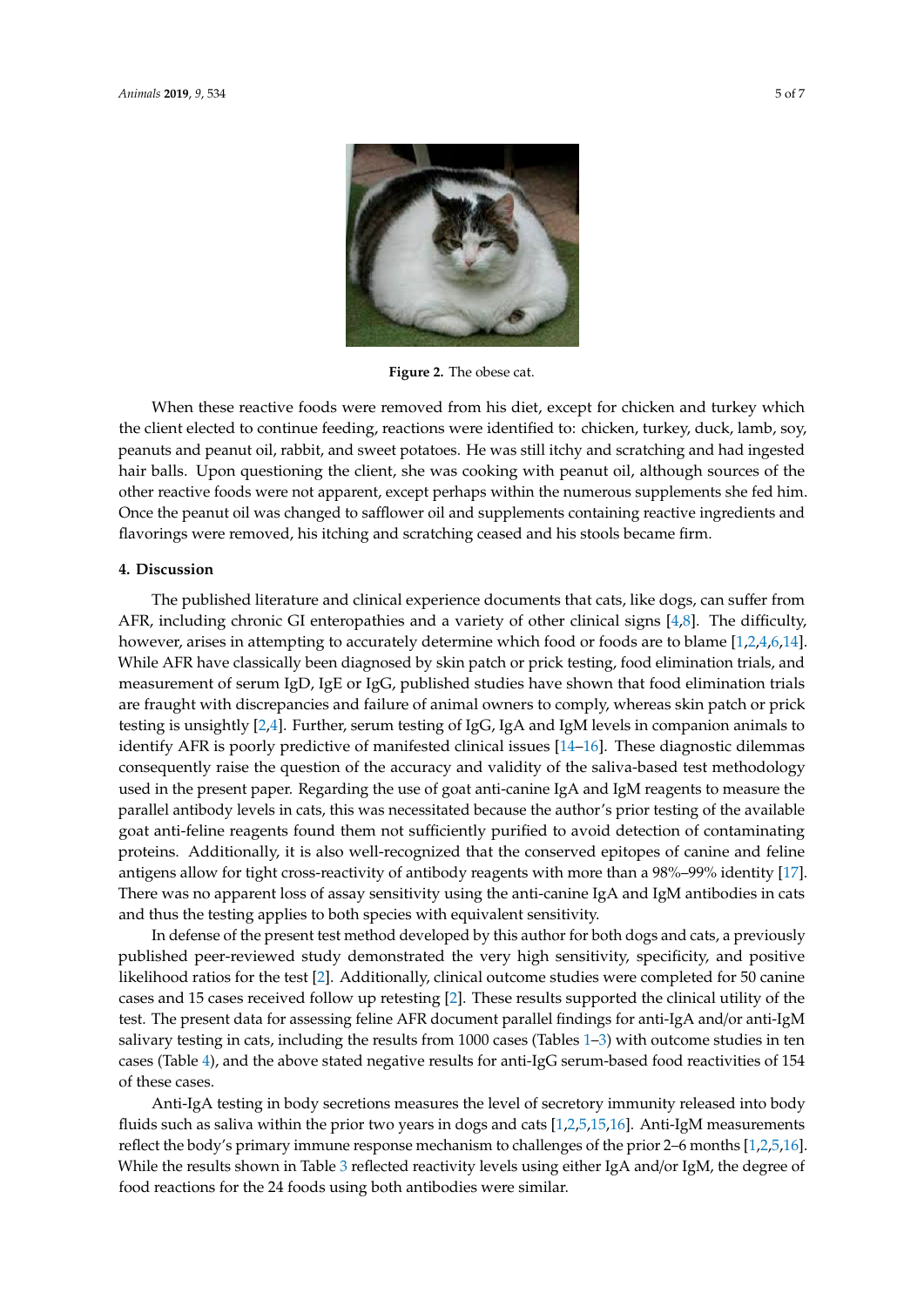<span id="page-4-0"></span>

**Figure 2.** The obese cat. **Figure 2.** The obese cat.

When these reactive foods were removed from his diet, except for chicken and turkey which the client elected to continue feeding, reactions were identified to: chicken, turkey, duck, lamb, soy, peanuts and peanut oil, rabbit, and sweet potatoes. He was still itchy and scratching and had ingested hair balls. Upon questioning the client, she was cooking with peanut oil, although sources of the other reactive foods were not apparent, except perhaps within the numerous supplements she fed him. Once the peanut oil was changed to safflower oil and supplements containing reactive ingredients and flavorings were removed, his itching and scratching ceased and his stools became firm.

#### **4. Discussion**

The published literature and clinical experience documents that cats, like dogs, can suffer from AFR, including chronic GI enteropathies and a variety of other clinical signs [\[4,](#page-5-1)[8\]](#page-6-2). The difficulty, however, arises in attempting to accurately determine which food or foods are to blame [\[1](#page-5-0)[,2,](#page-5-2)[4,](#page-5-1)[6,](#page-6-1)[14\]](#page-6-8). While AFR have classically been diagnosed by skin patch or prick testing, food elimination trials, and measurement of serum IgD, IgE or IgG, published studies have shown that food elimination trials are fraught with discrepancies and failure of animal owners to comply, whereas skin patch or prick testing is unsightly [\[2,](#page-5-2)[4\]](#page-5-1). Further, serum testing of IgG, IgA and IgM levels in companion animals to identify AFR is poorly predictive of manifested clinical issues [\[14–](#page-6-8)[16\]](#page-6-9). These diagnostic dilemmas consequently raise the question of the accuracy and validity of the saliva-based test methodology used in the present paper. Regarding the use of goat anti-canine IgA and IgM reagents to measure the parallel antibody levels in cats, this was necessitated because the author's prior testing of the available goat anti-feline reagents found them not sufficiently purified to avoid detection of contaminating proteins. Additionally, it is also well-recognized that the conserved epitopes of canine and feline antigens allow for tight cross-reactivity of antibody reagents with more than a 98%–99% identity [\[17\]](#page-6-10). There was no apparent loss of assay sensitivity using the anti-canine IgA and IgM antibodies in cats and thus the testing applies to both species with equivalent sensitivity.

In defense of the present test method developed by this author for both dogs and cats, a previously published peer-reviewed study demonstrated the very high sensitivity, specificity, and positive likelihood ratios for the test [\[2\]](#page-5-2). Additionally, clinical outcome studies were completed for 50 canine cases and 15 cases received follow up retesting [\[2\]](#page-5-2). These results supported the clinical utility of the test. The present data for assessing feline AFR document parallel findings for anti-IgA and/or anti-IgM salivary testing in cats, including the results from 1000 cases (Tables [1](#page-2-0)[–3\)](#page-3-0) with outcome studies in ten cases (Table [4\)](#page-3-1), and the above stated negative results for anti-IgG serum-based food reactivities of 154 of these cases.

Anti-IgA testing in body secretions measures the level of secretory immunity released into body fluids such as saliva within the prior two years in dogs and cats [\[1](#page-5-0)[,2,](#page-5-2)[5,](#page-6-0)[15,](#page-6-11)[16\]](#page-6-9). Anti-IgM measurements reflect the body's primary immune response mechanism to challenges of the prior 2–6 months [\[1,](#page-5-0)[2](#page-5-2)[,5](#page-6-0)[,16\]](#page-6-9). While the results shown in Table [3](#page-3-0) reflected reactivity levels using either IgA and/or IgM, the degree of food reactions for the 24 foods using both antibodies were similar.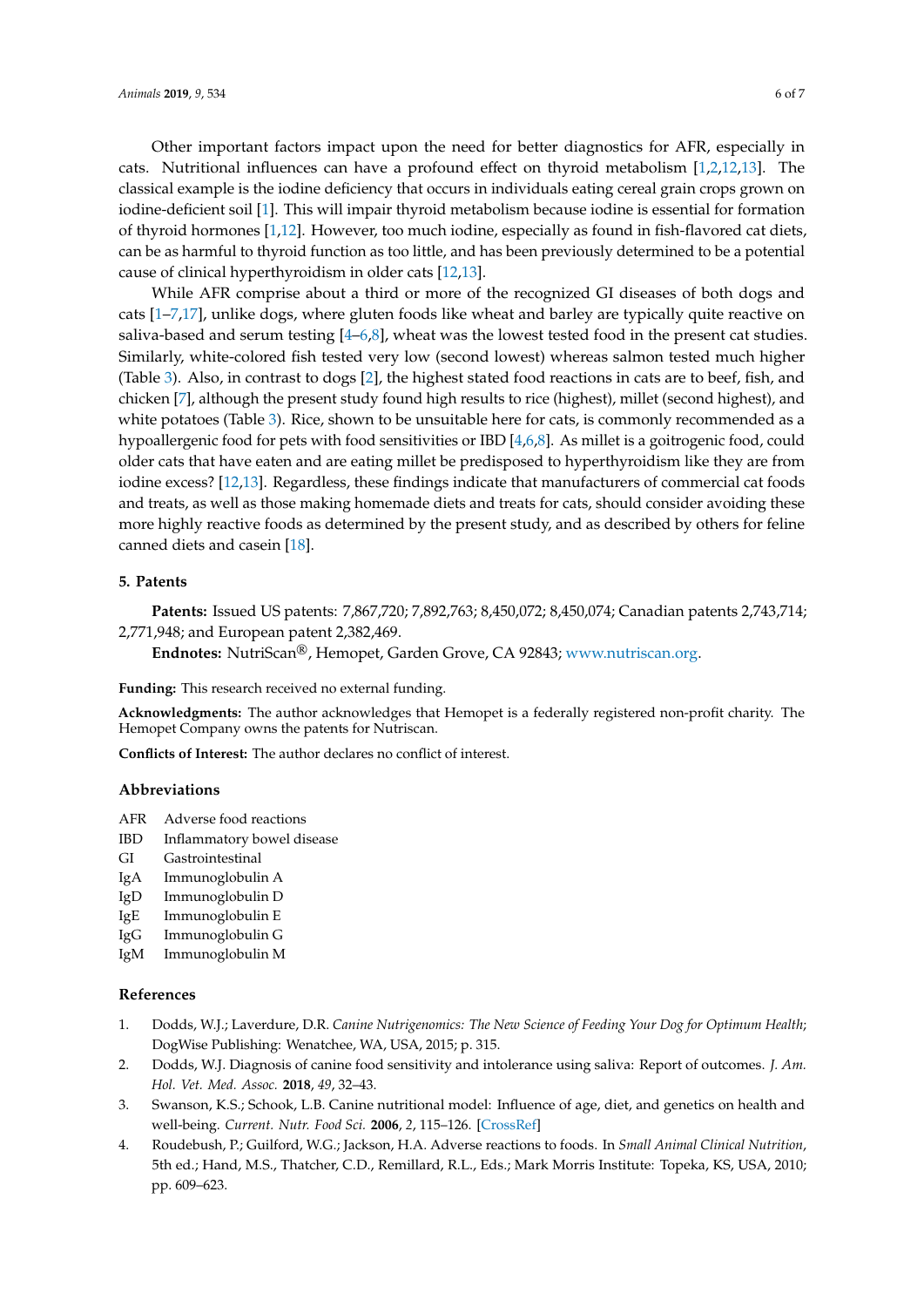Other important factors impact upon the need for better diagnostics for AFR, especially in cats. Nutritional influences can have a profound effect on thyroid metabolism [\[1,](#page-5-0)[2](#page-5-2)[,12](#page-6-6)[,13\]](#page-6-7). The classical example is the iodine deficiency that occurs in individuals eating cereal grain crops grown on iodine-deficient soil [\[1\]](#page-5-0). This will impair thyroid metabolism because iodine is essential for formation of thyroid hormones [\[1,](#page-5-0)[12\]](#page-6-6). However, too much iodine, especially as found in fish-flavored cat diets, can be as harmful to thyroid function as too little, and has been previously determined to be a potential cause of clinical hyperthyroidism in older cats [\[12,](#page-6-6)[13\]](#page-6-7).

While AFR comprise about a third or more of the recognized GI diseases of both dogs and cats [\[1–](#page-5-0)[7](#page-6-3)[,17\]](#page-6-10), unlike dogs, where gluten foods like wheat and barley are typically quite reactive on saliva-based and serum testing  $[4-6,8]$  $[4-6,8]$  $[4-6,8]$ , wheat was the lowest tested food in the present cat studies. Similarly, white-colored fish tested very low (second lowest) whereas salmon tested much higher (Table [3\)](#page-3-0). Also, in contrast to dogs [\[2\]](#page-5-2), the highest stated food reactions in cats are to beef, fish, and chicken [\[7\]](#page-6-3), although the present study found high results to rice (highest), millet (second highest), and white potatoes (Table [3\)](#page-3-0). Rice, shown to be unsuitable here for cats, is commonly recommended as a hypoallergenic food for pets with food sensitivities or IBD [\[4,](#page-5-1)[6,](#page-6-1)[8\]](#page-6-2). As millet is a goitrogenic food, could older cats that have eaten and are eating millet be predisposed to hyperthyroidism like they are from iodine excess? [\[12,](#page-6-6)[13\]](#page-6-7). Regardless, these findings indicate that manufacturers of commercial cat foods and treats, as well as those making homemade diets and treats for cats, should consider avoiding these more highly reactive foods as determined by the present study, and as described by others for feline canned diets and casein [\[18\]](#page-6-12).

# <span id="page-5-4"></span>**5. Patents**

**Patents:** Issued US patents: 7,867,720; 7,892,763; 8,450,072; 8,450,074; Canadian patents 2,743,714; 2,771,948; and European patent 2,382,469.

**Endnotes:** NutriScan®, Hemopet, Garden Grove, CA 92843; [www.nutriscan.org.](www.nutriscan.org)

**Funding:** This research received no external funding.

**Acknowledgments:** The author acknowledges that Hemopet is a federally registered non-profit charity. The Hemopet Company owns the patents for Nutriscan.

**Conflicts of Interest:** The author declares no conflict of interest.

## **Abbreviations**

- AFR Adverse food reactions
- IBD Inflammatory bowel disease
- GI Gastrointestinal
- IgA Immunoglobulin A
- IgD Immunoglobulin D
- IgE Immunoglobulin E
- IgG Immunoglobulin G
- IgM Immunoglobulin M

# **References**

- <span id="page-5-0"></span>1. Dodds, W.J.; Laverdure, D.R. *Canine Nutrigenomics: The New Science of Feeding Your Dog for Optimum Health*; DogWise Publishing: Wenatchee, WA, USA, 2015; p. 315.
- <span id="page-5-2"></span>2. Dodds, W.J. Diagnosis of canine food sensitivity and intolerance using saliva: Report of outcomes. *J. Am. Hol. Vet. Med. Assoc.* **2018**, *49*, 32–43.
- <span id="page-5-3"></span>3. Swanson, K.S.; Schook, L.B. Canine nutritional model: Influence of age, diet, and genetics on health and well-being. *Current. Nutr. Food Sci.* **2006**, *2*, 115–126. [\[CrossRef\]](http://dx.doi.org/10.2174/157340106776818853)
- <span id="page-5-1"></span>4. Roudebush, P.; Guilford, W.G.; Jackson, H.A. Adverse reactions to foods. In *Small Animal Clinical Nutrition*, 5th ed.; Hand, M.S., Thatcher, C.D., Remillard, R.L., Eds.; Mark Morris Institute: Topeka, KS, USA, 2010; pp. 609–623.